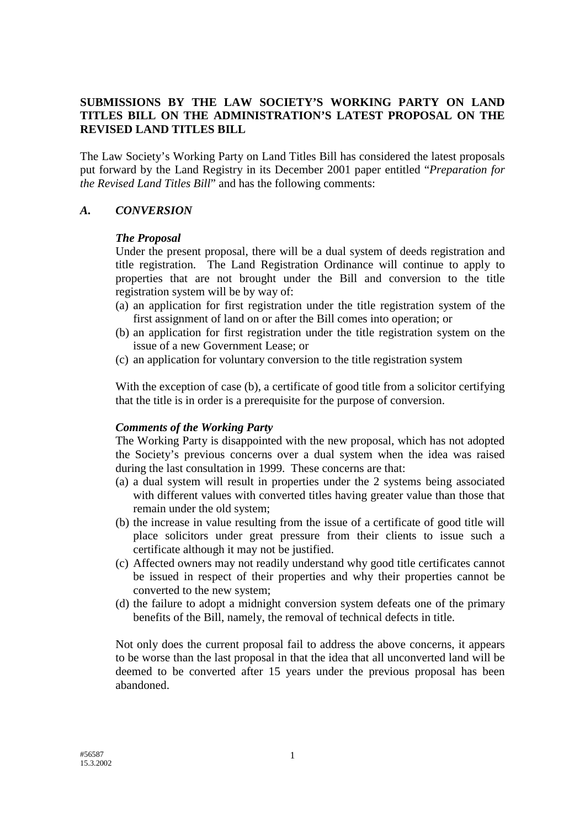## **SUBMISSIONS BY THE LAW SOCIETY'S WORKING PARTY ON LAND TITLES BILL ON THE ADMINISTRATION'S LATEST PROPOSAL ON THE REVISED LAND TITLES BILL**

The Law Society's Working Party on Land Titles Bill has considered the latest proposals put forward by the Land Registry in its December 2001 paper entitled "*Preparation for the Revised Land Titles Bill*" and has the following comments:

#### *A. CONVERSION*

#### *The Proposal*

Under the present proposal, there will be a dual system of deeds registration and title registration. The Land Registration Ordinance will continue to apply to properties that are not brought under the Bill and conversion to the title registration system will be by way of:

- (a) an application for first registration under the title registration system of the first assignment of land on or after the Bill comes into operation; or
- (b) an application for first registration under the title registration system on the issue of a new Government Lease; or
- (c) an application for voluntary conversion to the title registration system

With the exception of case (b), a certificate of good title from a solicitor certifying that the title is in order is a prerequisite for the purpose of conversion.

### *Comments of the Working Party*

 The Working Party is disappointed with the new proposal, which has not adopted the Society's previous concerns over a dual system when the idea was raised during the last consultation in 1999. These concerns are that:

- (a) a dual system will result in properties under the 2 systems being associated with different values with converted titles having greater value than those that remain under the old system;
- (b) the increase in value resulting from the issue of a certificate of good title will place solicitors under great pressure from their clients to issue such a certificate although it may not be justified.
- (c) Affected owners may not readily understand why good title certificates cannot be issued in respect of their properties and why their properties cannot be converted to the new system;
- (d) the failure to adopt a midnight conversion system defeats one of the primary benefits of the Bill, namely, the removal of technical defects in title.

Not only does the current proposal fail to address the above concerns, it appears to be worse than the last proposal in that the idea that all unconverted land will be deemed to be converted after 15 years under the previous proposal has been abandoned.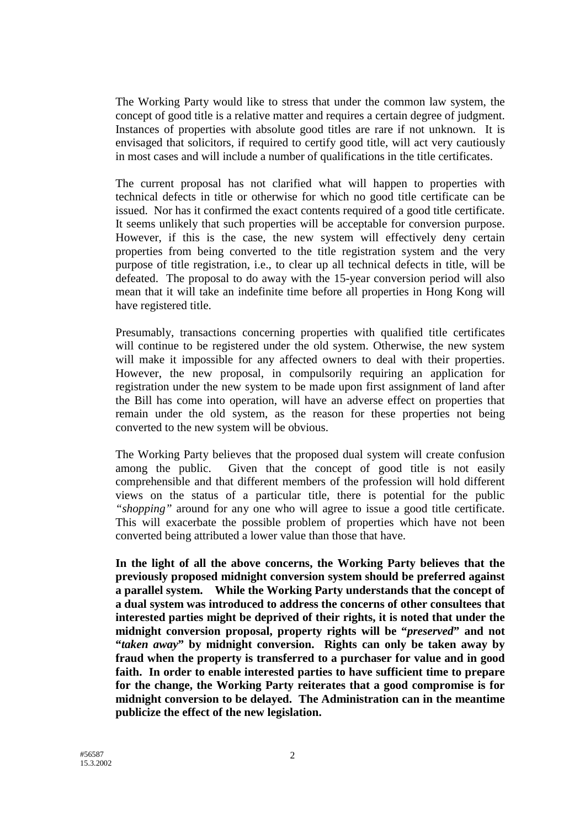The Working Party would like to stress that under the common law system, the concept of good title is a relative matter and requires a certain degree of judgment. Instances of properties with absolute good titles are rare if not unknown. It is envisaged that solicitors, if required to certify good title, will act very cautiously in most cases and will include a number of qualifications in the title certificates.

The current proposal has not clarified what will happen to properties with technical defects in title or otherwise for which no good title certificate can be issued. Nor has it confirmed the exact contents required of a good title certificate. It seems unlikely that such properties will be acceptable for conversion purpose. However, if this is the case, the new system will effectively deny certain properties from being converted to the title registration system and the very purpose of title registration, i.e., to clear up all technical defects in title, will be defeated. The proposal to do away with the 15-year conversion period will also mean that it will take an indefinite time before all properties in Hong Kong will have registered title.

Presumably, transactions concerning properties with qualified title certificates will continue to be registered under the old system. Otherwise, the new system will make it impossible for any affected owners to deal with their properties. However, the new proposal, in compulsorily requiring an application for registration under the new system to be made upon first assignment of land after the Bill has come into operation, will have an adverse effect on properties that remain under the old system, as the reason for these properties not being converted to the new system will be obvious.

The Working Party believes that the proposed dual system will create confusion among the public. Given that the concept of good title is not easily comprehensible and that different members of the profession will hold different views on the status of a particular title, there is potential for the public *"shopping"* around for any one who will agree to issue a good title certificate. This will exacerbate the possible problem of properties which have not been converted being attributed a lower value than those that have.

**In the light of all the above concerns, the Working Party believes that the previously proposed midnight conversion system should be preferred against a parallel system. While the Working Party understands that the concept of a dual system was introduced to address the concerns of other consultees that interested parties might be deprived of their rights, it is noted that under the midnight conversion proposal, property rights will be "***preserved***" and not "***taken away***" by midnight conversion. Rights can only be taken away by fraud when the property is transferred to a purchaser for value and in good faith. In order to enable interested parties to have sufficient time to prepare for the change, the Working Party reiterates that a good compromise is for midnight conversion to be delayed. The Administration can in the meantime publicize the effect of the new legislation.**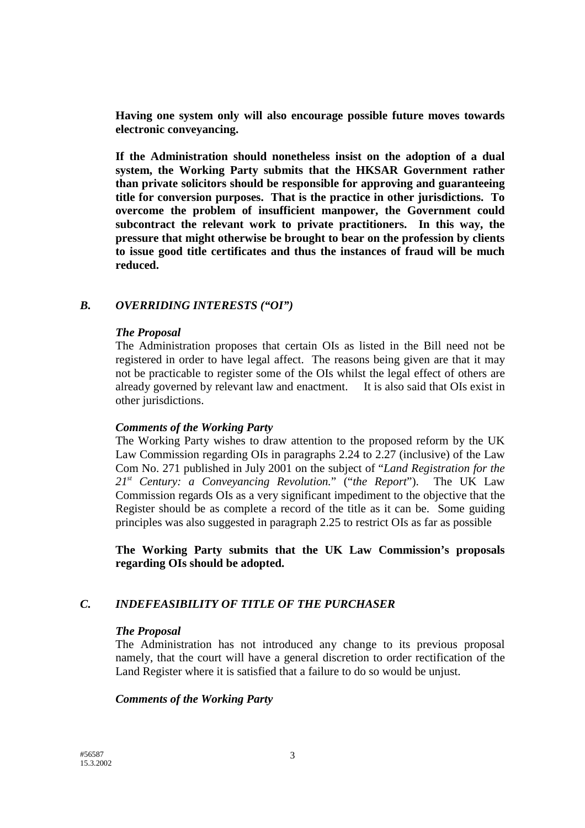**Having one system only will also encourage possible future moves towards electronic conveyancing.**

**If the Administration should nonetheless insist on the adoption of a dual system, the Working Party submits that the HKSAR Government rather than private solicitors should be responsible for approving and guaranteeing title for conversion purposes. That is the practice in other jurisdictions. To overcome the problem of insufficient manpower, the Government could subcontract the relevant work to private practitioners. In this way, the pressure that might otherwise be brought to bear on the profession by clients to issue good title certificates and thus the instances of fraud will be much reduced.**

# *B. OVERRIDING INTERESTS ("OI")*

#### *The Proposal*

The Administration proposes that certain OIs as listed in the Bill need not be registered in order to have legal affect. The reasons being given are that it may not be practicable to register some of the OIs whilst the legal effect of others are already governed by relevant law and enactment. It is also said that OIs exist in other jurisdictions.

### *Comments of the Working Party*

The Working Party wishes to draw attention to the proposed reform by the UK Law Commission regarding OIs in paragraphs 2.24 to 2.27 (inclusive) of the Law Com No. 271 published in July 2001 on the subject of "*Land Registration for the 21st Century: a Conveyancing Revolution.*" ("*the Report*"). The UK Law Commission regards OIs as a very significant impediment to the objective that the Register should be as complete a record of the title as it can be. Some guiding principles was also suggested in paragraph 2.25 to restrict OIs as far as possible

**The Working Party submits that the UK Law Commission's proposals regarding OIs should be adopted.**

# *C. INDEFEASIBILITY OF TITLE OF THE PURCHASER*

### *The Proposal*

The Administration has not introduced any change to its previous proposal namely, that the court will have a general discretion to order rectification of the Land Register where it is satisfied that a failure to do so would be unjust.

### *Comments of the Working Party*